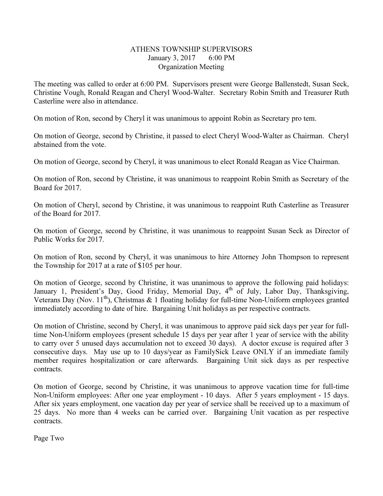## ATHENS TOWNSHIP SUPERVISORS January 3, 2017 6:00 PM Organization Meeting

The meeting was called to order at 6:00 PM. Supervisors present were George Ballenstedt, Susan Seck, Christine Vough, Ronald Reagan and Cheryl Wood-Walter. Secretary Robin Smith and Treasurer Ruth Casterline were also in attendance.

On motion of Ron, second by Cheryl it was unanimous to appoint Robin as Secretary pro tem.

On motion of George, second by Christine, it passed to elect Cheryl Wood-Walter as Chairman. Cheryl abstained from the vote.

On motion of George, second by Cheryl, it was unanimous to elect Ronald Reagan as Vice Chairman.

On motion of Ron, second by Christine, it was unanimous to reappoint Robin Smith as Secretary of the Board for 2017.

On motion of Cheryl, second by Christine, it was unanimous to reappoint Ruth Casterline as Treasurer of the Board for 2017.

On motion of George, second by Christine, it was unanimous to reappoint Susan Seck as Director of Public Works for 2017.

On motion of Ron, second by Cheryl, it was unanimous to hire Attorney John Thompson to represent the Township for 2017 at a rate of \$105 per hour.

On motion of George, second by Christine, it was unanimous to approve the following paid holidays: January 1, President's Day, Good Friday, Memorial Day, 4<sup>th</sup> of July, Labor Day, Thanksgiving, Veterans Day (Nov. 11<sup>th</sup>), Christmas & 1 floating holiday for full-time Non-Uniform employees granted immediately according to date of hire. Bargaining Unit holidays as per respective contracts.

On motion of Christine, second by Cheryl, it was unanimous to approve paid sick days per year for fulltime Non-Uniform employees (present schedule 15 days per year after 1 year of service with the ability to carry over 5 unused days accumulation not to exceed 30 days). A doctor excuse is required after 3 consecutive days. May use up to 10 days/year as FamilySick Leave ONLY if an immediate family member requires hospitalization or care afterwards. Bargaining Unit sick days as per respective contracts.

On motion of George, second by Christine, it was unanimous to approve vacation time for full-time Non-Uniform employees: After one year employment - 10 days. After 5 years employment - 15 days. After six years employment, one vacation day per year of service shall be received up to a maximum of 25 days. No more than 4 weeks can be carried over. Bargaining Unit vacation as per respective contracts.

Page Two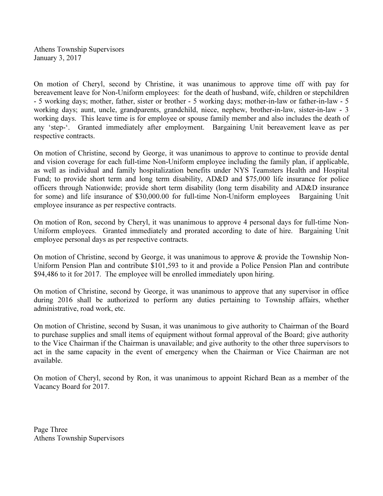Athens Township Supervisors January 3, 2017

On motion of Cheryl, second by Christine, it was unanimous to approve time off with pay for bereavement leave for Non-Uniform employees: for the death of husband, wife, children or stepchildren - 5 working days; mother, father, sister or brother - 5 working days; mother-in-law or father-in-law - 5 working days; aunt, uncle, grandparents, grandchild, niece, nephew, brother-in-law, sister-in-law - 3 working days. This leave time is for employee or spouse family member and also includes the death of any 'step-'. Granted immediately after employment. Bargaining Unit bereavement leave as per respective contracts.

On motion of Christine, second by George, it was unanimous to approve to continue to provide dental and vision coverage for each full-time Non-Uniform employee including the family plan, if applicable, as well as individual and family hospitalization benefits under NYS Teamsters Health and Hospital Fund; to provide short term and long term disability, AD&D and \$75,000 life insurance for police officers through Nationwide; provide short term disability (long term disability and AD&D insurance for some) and life insurance of \$30,000.00 for full-time Non-Uniform employees Bargaining Unit employee insurance as per respective contracts.

On motion of Ron, second by Cheryl, it was unanimous to approve 4 personal days for full-time Non-Uniform employees. Granted immediately and prorated according to date of hire. Bargaining Unit employee personal days as per respective contracts.

On motion of Christine, second by George, it was unanimous to approve & provide the Township Non-Uniform Pension Plan and contribute \$101,593 to it and provide a Police Pension Plan and contribute \$94,486 to it for 2017. The employee will be enrolled immediately upon hiring.

On motion of Christine, second by George, it was unanimous to approve that any supervisor in office during 2016 shall be authorized to perform any duties pertaining to Township affairs, whether administrative, road work, etc.

On motion of Christine, second by Susan, it was unanimous to give authority to Chairman of the Board to purchase supplies and small items of equipment without formal approval of the Board; give authority to the Vice Chairman if the Chairman is unavailable; and give authority to the other three supervisors to act in the same capacity in the event of emergency when the Chairman or Vice Chairman are not available.

On motion of Cheryl, second by Ron, it was unanimous to appoint Richard Bean as a member of the Vacancy Board for 2017.

Page Three Athens Township Supervisors